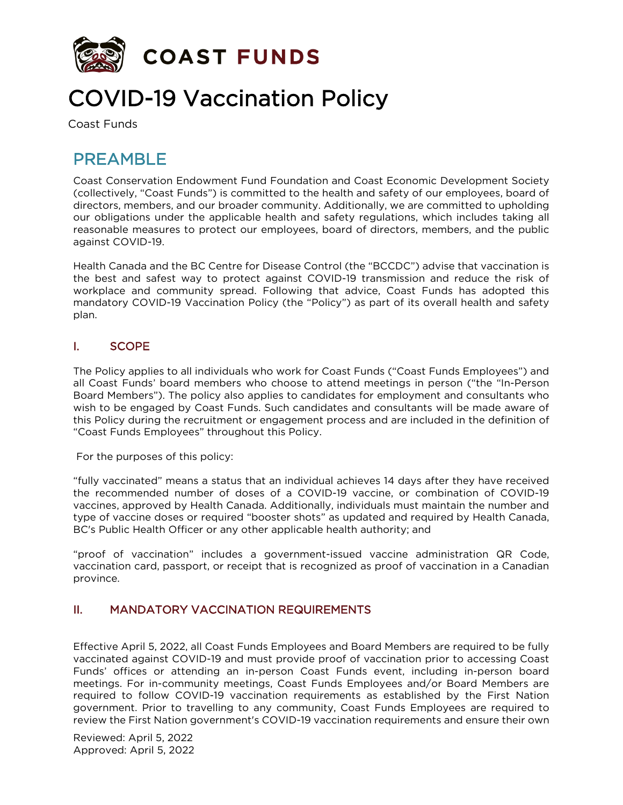

# COVID-19 Vaccination Policy

# PRFAMBL<sub>F</sub>

Coast Conservation Endowment Fund Foundation and Coast Economic Development Society (collectively, "Coast Funds") is committed to the health and safety of our employees, board of directors, members, and our broader community. Additionally, we are committed to upholding our obligations under the applicable health and safety regulations, which includes taking all reasonable measures to protect our employees, board of directors, members, and the public against COVID-19.

Health Canada and the BC Centre for Disease Control (the "BCCDC") advise that vaccination is the best and safest way to protect against COVID-19 transmission and reduce the risk of workplace and community spread. Following that advice, Coast Funds has adopted this mandatory COVID-19 Vaccination Policy (the "Policy") as part of its overall health and safety plan.

#### I. SCOPE

The Policy applies to all individuals who work for Coast Funds ("Coast Funds Employees") and all Coast Funds' board members who choose to attend meetings in person ("the "In-Person Board Members"). The policy also applies to candidates for employment and consultants who wish to be engaged by Coast Funds. Such candidates and consultants will be made aware of this Policy during the recruitment or engagement process and are included in the definition of "Coast Funds Employees" throughout this Policy.

For the purposes of this policy:

"fully vaccinated" means a status that an individual achieves 14 days after they have received the recommended number of doses of a COVID-19 vaccine, or combination of COVID-19 vaccines, approved by Health Canada. Additionally, individuals must maintain the number and type of vaccine doses or required "booster shots" as updated and required by Health Canada, BC's Public Health Officer or any other applicable health authority; and

"proof of vaccination" includes a government-issued vaccine administration QR Code, vaccination card, passport, or receipt that is recognized as proof of vaccination in a Canadian province.

#### II. MANDATORY VACCINATION REQUIREMENTS

Effective April 5, 2022, all Coast Funds Employees and Board Members are required to be fully vaccinated against COVID-19 and must provide proof of vaccination prior to accessing Coast Funds' offices or attending an in-person Coast Funds event, including in-person board meetings. For in-community meetings, Coast Funds Employees and/or Board Members are required to follow COVID-19 vaccination requirements as established by the First Nation government. Prior to travelling to any community, Coast Funds Employees are required to review the First Nation government's COVID-19 vaccination requirements and ensure their own

Reviewed: April 5, 2022 Approved: April 5, 2022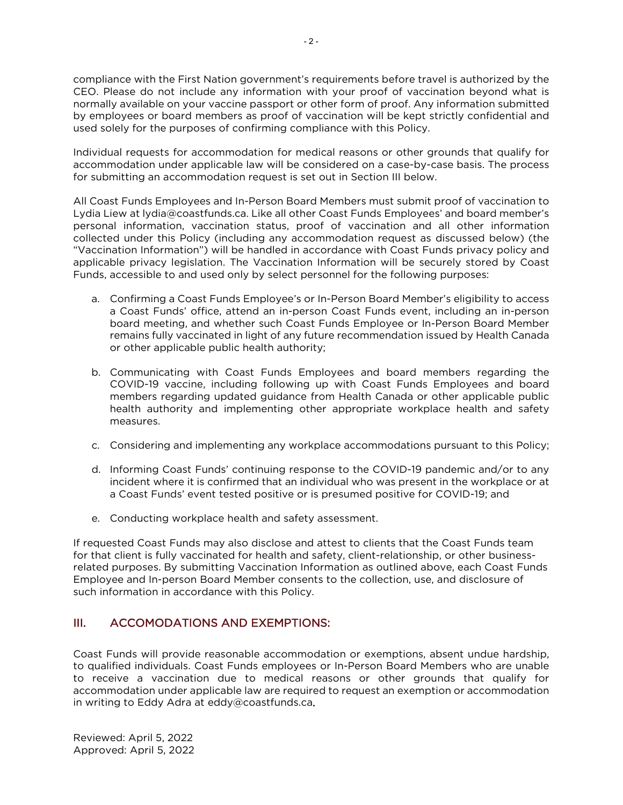compliance with the First Nation government's requirements before travel is authorized by the CEO. Please do not include any information with your proof of vaccination beyond what is normally available on your vaccine passport or other form of proof. Any information submitted by employees or board members as proof of vaccination will be kept strictly confidential and used solely for the purposes of confirming compliance with this Policy.

Individual requests for accommodation for medical reasons or other grounds that qualify for accommodation under applicable law will be considered on a case-by-case basis. The process for submitting an accommodation request is set out in Section III below.

All Coast Funds Employees and In-Person Board Members must submit proof of vaccination to Lydia Liew at lydia@coastfunds.ca. Like all other Coast Funds Employees' and board member's personal information, vaccination status, proof of vaccination and all other information collected under this Policy (including any accommodation request as discussed below) (the "Vaccination Information") will be handled in accordance with Coast Funds privacy policy and applicable privacy legislation. The Vaccination Information will be securely stored by Coast Funds, accessible to and used only by select personnel for the following purposes:

- a. Confirming a Coast Funds Employee's or In-Person Board Member's eligibility to access a Coast Funds' office, attend an in-person Coast Funds event, including an in-person board meeting, and whether such Coast Funds Employee or In-Person Board Member remains fully vaccinated in light of any future recommendation issued by Health Canada or other applicable public health authority;
- b. Communicating with Coast Funds Employees and board members regarding the COVID-19 vaccine, including following up with Coast Funds Employees and board members regarding updated guidance from Health Canada or other applicable public health authority and implementing other appropriate workplace health and safety measures.
- c. Considering and implementing any workplace accommodations pursuant to this Policy;
- d. Informing Coast Funds' continuing response to the COVID-19 pandemic and/or to any incident where it is confirmed that an individual who was present in the workplace or at a Coast Funds' event tested positive or is presumed positive for COVID-19; and
- e. Conducting workplace health and safety assessment.

If requested Coast Funds may also disclose and attest to clients that the Coast Funds team for that client is fully vaccinated for health and safety, client-relationship, or other businessrelated purposes. By submitting Vaccination Information as outlined above, each Coast Funds Employee and In-person Board Member consents to the collection, use, and disclosure of such information in accordance with this Policy.

#### III. ACCOMODATIONS AND EXEMPTIONS:

Coast Funds will provide reasonable accommodation or exemptions, absent undue hardship, to qualified individuals. Coast Funds employees or In-Person Board Members who are unable to receive a vaccination due to medical reasons or other grounds that qualify for accommodation under applicable law are required to request an exemption or accommodation in writing to Eddy Adra at eddy@coastfunds.ca.

Reviewed: April 5, 2022 Approved: April 5, 2022